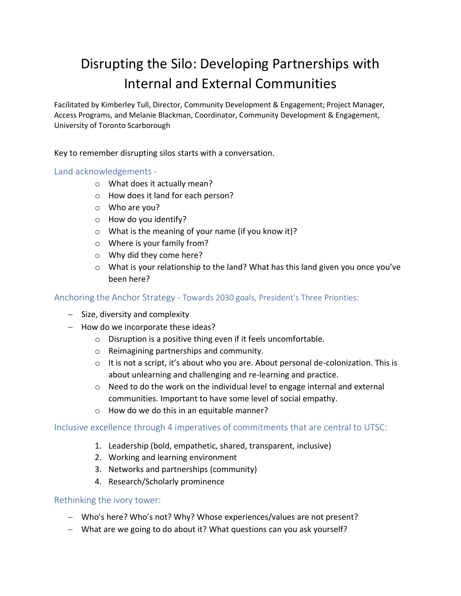# Disrupting the Silo: Developing Partnerships with Internal and External Communities

Facilitated by Kimberley Tull, Director, Community Development & Engagement; Project Manager, Access Programs, and Melanie Blackman, Coordinator, Community Development & Engagement, University of Toronto Scarborough

Key to remember disrupting silos starts with a conversation.

Land acknowledgements -

- o What does it actually mean?
- o How does it land for each person?
- o Who are you?
- o How do you identify?
- o What is the meaning of your name (if you know it)?
- o Where is your family from?
- o Why did they come here?
- o What is your relationship to the land? What has this land given you once you've been here?

#### Anchoring the Anchor Strategy - Towards 2030 goals, President's Three Priorities:

- − Size, diversity and complexity
- − How do we incorporate these ideas?
	- o Disruption is a positive thing even if it feels uncomfortable.
	- o Reimagining partnerships and community.
	- $\circ$  It is not a script, it's about who you are. About personal de-colonization. This is about unlearning and challenging and re-learning and practice.
	- $\circ$  Need to do the work on the individual level to engage internal and external communities. Important to have some level of social empathy.
	- o How do we do this in an equitable manner?

#### Inclusive excellence through 4 imperatives of commitments that are central to UTSC:

- 1. Leadership (bold, empathetic, shared, transparent, inclusive)
- 2. Working and learning environment
- 3. Networks and partnerships (community)
- 4. Research/Scholarly prominence

#### Rethinking the ivory tower:

- − Who's here? Who's not? Why? Whose experiences/values are not present?
- − What are we going to do about it? What questions can you ask yourself?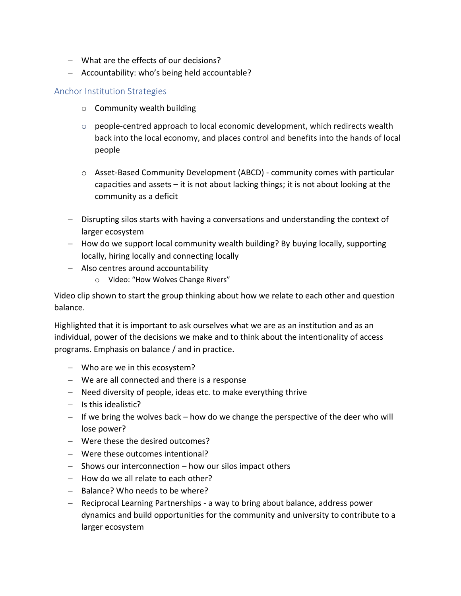- − What are the effects of our decisions?
- − Accountability: who's being held accountable?

## Anchor Institution Strategies

- o Community wealth building
- o people-centred approach to local economic development, which redirects wealth back into the local economy, and places control and benefits into the hands of local people
- o Asset-Based Community Development (ABCD) community comes with particular capacities and assets – it is not about lacking things; it is not about looking at the community as a deficit
- − Disrupting silos starts with having a conversations and understanding the context of larger ecosystem
- − How do we support local community wealth building? By buying locally, supporting locally, hiring locally and connecting locally
- − Also centres around accountability
	- o Video: "How Wolves Change Rivers"

Video clip shown to start the group thinking about how we relate to each other and question balance.

Highlighted that it is important to ask ourselves what we are as an institution and as an individual, power of the decisions we make and to think about the intentionality of access programs. Emphasis on balance / and in practice.

- − Who are we in this ecosystem?
- − We are all connected and there is a response
- − Need diversity of people, ideas etc. to make everything thrive
- − Is this idealistic?
- − If we bring the wolves back how do we change the perspective of the deer who will lose power?
- − Were these the desired outcomes?
- − Were these outcomes intentional?
- − Shows our interconnection how our silos impact others
- − How do we all relate to each other?
- − Balance? Who needs to be where?
- − Reciprocal Learning Partnerships a way to bring about balance, address power dynamics and build opportunities for the community and university to contribute to a larger ecosystem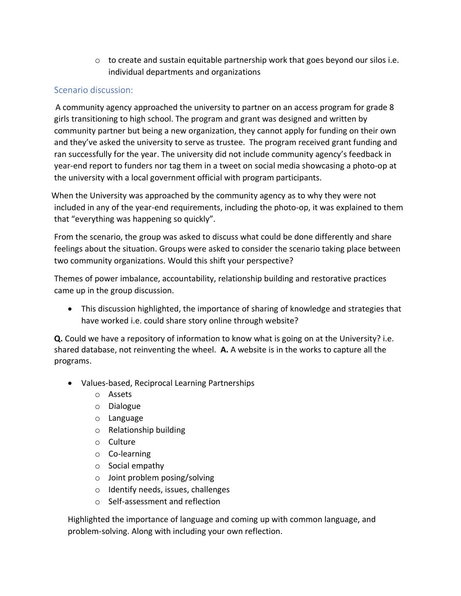$\circ$  to create and sustain equitable partnership work that goes beyond our silos i.e. individual departments and organizations

### Scenario discussion:

 A community agency approached the university to partner on an access program for grade 8 girls transitioning to high school. The program and grant was designed and written by community partner but being a new organization, they cannot apply for funding on their own and they've asked the university to serve as trustee. The program received grant funding and ran successfully for the year. The university did not include community agency's feedback in year-end report to funders nor tag them in a tweet on social media showcasing a photo-op at the university with a local government official with program participants.

 When the University was approached by the community agency as to why they were not included in any of the year-end requirements, including the photo-op, it was explained to them that "everything was happening so quickly".

From the scenario, the group was asked to discuss what could be done differently and share feelings about the situation. Groups were asked to consider the scenario taking place between two community organizations. Would this shift your perspective?

Themes of power imbalance, accountability, relationship building and restorative practices came up in the group discussion.

• This discussion highlighted, the importance of sharing of knowledge and strategies that have worked i.e. could share story online through website?

**Q.** Could we have a repository of information to know what is going on at the University? i.e. shared database, not reinventing the wheel. **A.** A website is in the works to capture all the programs.

- Values-based, Reciprocal Learning Partnerships
	- o Assets
	- o Dialogue
	- o Language
	- o Relationship building
	- o Culture
	- o Co-learning
	- o Social empathy
	- o Joint problem posing/solving
	- o Identify needs, issues, challenges
	- o Self-assessment and reflection

Highlighted the importance of language and coming up with common language, and problem-solving. Along with including your own reflection.